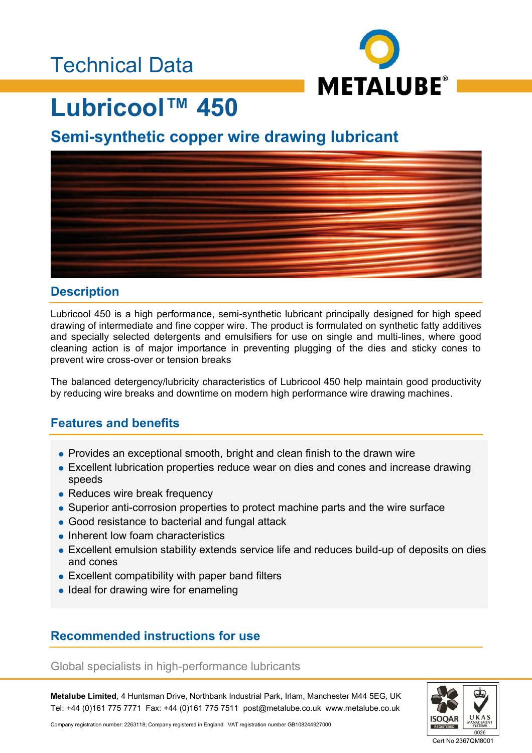### Technical Data



# **Lubricool™ 450**

**Semi-synthetic copper wire drawing lubricant**



#### **Description**

Lubricool 450 is a high performance, semi-synthetic lubricant principally designed for high speed drawing of intermediate and fine copper wire. The product is formulated on synthetic fatty additives and specially selected detergents and emulsifiers for use on single and multi-lines, where good cleaning action is of major importance in preventing plugging of the dies and sticky cones to prevent wire cross-over or tension breaks

The balanced detergency/lubricity characteristics of Lubricool 450 help maintain good productivity by reducing wire breaks and downtime on modern high performance wire drawing machines.

### **Features and benefits**

- Provides an exceptional smooth, bright and clean finish to the drawn wire
- Excellent lubrication properties reduce wear on dies and cones and increase drawing speeds
- Reduces wire break frequency
- Superior anti-corrosion properties to protect machine parts and the wire surface
- Good resistance to bacterial and fungal attack
- Inherent low foam characteristics
- Excellent emulsion stability extends service life and reduces build-up of deposits on dies and cones
- Excellent compatibility with paper band filters
- Ideal for drawing wire for enameling

#### **Recommended instructions for use**

Global specialists in high-performance lubricants

**Metalube Limited**, 4 Huntsman Drive, Northbank Industrial Park, Irlam, Manchester M44 5EG, UK Tel: +44 (0)161 775 7771 Fax: +44 (0)161 775 7511 post@metalube.co.uk www.metalube.co.uk



Company registration number: 2263118; Company registered in England VAT registration number GB108244927000

Cert No 2367QM8001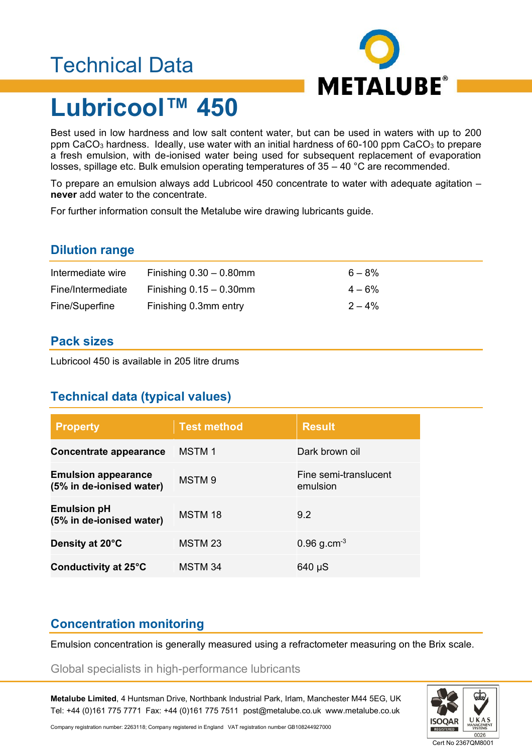## Technical Data



# **Lubricool™ 450**

Best used in low hardness and low salt content water, but can be used in waters with up to 200 ppm CaCO<sub>3</sub> hardness. Ideally, use water with an initial hardness of 60-100 ppm CaCO<sub>3</sub> to prepare a fresh emulsion, with de-ionised water being used for subsequent replacement of evaporation losses, spillage etc. Bulk emulsion operating temperatures of 35 – 40 °C are recommended.

To prepare an emulsion always add Lubricool 450 concentrate to water with adequate agitation – **never** add water to the concentrate.

For further information consult the Metalube wire drawing lubricants guide.

#### **Dilution range**

| Intermediate wire | Finishing $0.30 - 0.80$ mm | $6 - 8\%$ |
|-------------------|----------------------------|-----------|
| Fine/Intermediate | Finishing $0.15 - 0.30$ mm | $4 - 6\%$ |
| Fine/Superfine    | Finishing 0.3mm entry      | $2 - 4\%$ |

#### **Pack sizes**

Lubricool 450 is available in 205 litre drums

### **Technical data (typical values)**

| <b>Property</b>                                        | <b>Test method</b> | <b>Result</b>                     |
|--------------------------------------------------------|--------------------|-----------------------------------|
| <b>Concentrate appearance</b>                          | <b>MSTM1</b>       | Dark brown oil                    |
| <b>Emulsion appearance</b><br>(5% in de-ionised water) | <b>MSTM9</b>       | Fine semi-translucent<br>emulsion |
| <b>Emulsion pH</b><br>(5% in de-ionised water)         | <b>MSTM18</b>      | 9.2                               |
| Density at 20°C                                        | MSTM <sub>23</sub> | $0.96$ g.cm <sup>-3</sup>         |
| Conductivity at 25°C                                   | MSTM 34            | 640 µS                            |

### **Concentration monitoring**

Emulsion concentration is generally measured using a refractometer measuring on the Brix scale.

Global specialists in high-performance lubricants

**Metalube Limited**, 4 Huntsman Drive, Northbank Industrial Park, Irlam, Manchester M44 5EG, UK Tel: +44 (0)161 775 7771 Fax: +44 (0)161 775 7511 post@metalube.co.uk www.metalube.co.uk



Company registration number: 2263118; Company registered in England VAT registration number GB108244927000